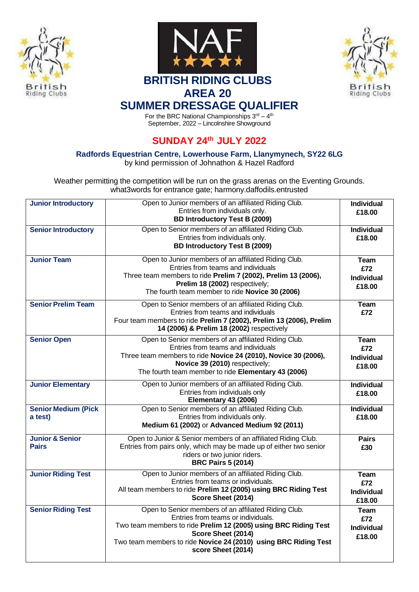





## **BRITISH RIDING CLUBS AREA 20**

## **SUMMER DRESSAGE QUALIFIER**

For the BRC National Championships  $3^{\text{rd}} - 4^{\text{th}}$ September, 2022 – Lincolnshire Showground

## **SUNDAY 24th JULY 2022**

**Radfords Equestrian Centre, Lowerhouse Farm, Llanymynech, SY22 6LG**

by kind permission of Johnathon & Hazel Radford

Weather permitting the competition will be run on the grass arenas on the Eventing Grounds. what3words for entrance gate; harmony.daffodils.entrusted

| <b>Junior Introductory</b>                 | Open to Junior members of an affiliated Riding Club.<br>Entries from individuals only.<br><b>BD Introductory Test B (2009)</b>                                                                                                                                               | <b>Individual</b><br>£18.00                       |
|--------------------------------------------|------------------------------------------------------------------------------------------------------------------------------------------------------------------------------------------------------------------------------------------------------------------------------|---------------------------------------------------|
| <b>Senior Introductory</b>                 | Open to Senior members of an affiliated Riding Club.<br>Entries from individuals only.<br><b>BD Introductory Test B (2009)</b>                                                                                                                                               | <b>Individual</b><br>£18.00                       |
| <b>Junior Team</b>                         | Open to Junior members of an affiliated Riding Club.<br>Entries from teams and individuals<br>Three team members to ride Prelim 7 (2002), Prelim 13 (2006),<br>Prelim 18 (2002) respectively;<br>The fourth team member to ride Novice 30 (2006)                             | Team<br>£72<br><b>Individual</b><br>£18.00        |
| <b>Senior Prelim Team</b>                  | Open to Senior members of an affiliated Riding Club.<br>Entries from teams and individuals<br>Four team members to ride Prelim 7 (2002), Prelim 13 (2006), Prelim<br>14 (2006) & Prelim 18 (2002) respectively                                                               | <b>Team</b><br>£72                                |
| <b>Senior Open</b>                         | Open to Senior members of an affiliated Riding Club.<br>Entries from teams and individuals<br>Three team members to ride Novice 24 (2010), Novice 30 (2006),<br>Novice 39 (2010) respectively;<br>The fourth team member to ride Elementary 43 (2006)                        | <b>Team</b><br>£72<br><b>Individual</b><br>£18.00 |
| <b>Junior Elementary</b>                   | Open to Junior members of an affiliated Riding Club.<br>Entries from individuals only<br>Elementary 43 (2006)                                                                                                                                                                | <b>Individual</b><br>£18.00                       |
| <b>Senior Medium (Pick</b><br>a test)      | Open to Senior members of an affiliated Riding Club.<br>Entries from individuals only.<br>Medium 61 (2002) or Advanced Medium 92 (2011)                                                                                                                                      | <b>Individual</b><br>£18.00                       |
| <b>Junior &amp; Senior</b><br><b>Pairs</b> | Open to Junior & Senior members of an affiliated Riding Club.<br>Entries from pairs only, which may be made up of either two senior<br>riders or two junior riders.<br><b>BRC Pairs 5 (2014)</b>                                                                             | <b>Pairs</b><br>£30                               |
| <b>Junior Riding Test</b>                  | Open to Junior members of an affiliated Riding Club.<br>Entries from teams or individuals.<br>All team members to ride Prelim 12 (2005) using BRC Riding Test<br>Score Sheet (2014)                                                                                          | <b>Team</b><br>£72<br><b>Individual</b><br>£18.00 |
| <b>Senior Riding Test</b>                  | Open to Senior members of an affiliated Riding Club.<br>Entries from teams or individuals.<br>Two team members to ride Prelim 12 (2005) using BRC Riding Test<br>Score Sheet (2014)<br>Two team members to ride Novice 24 (2010) using BRC Riding Test<br>score Sheet (2014) | Team<br>£72<br><b>Individual</b><br>£18.00        |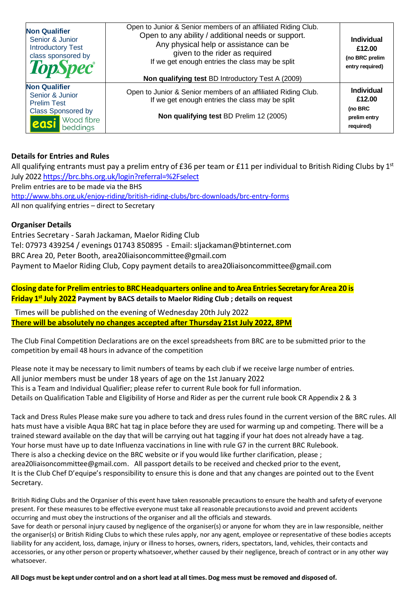| <b>Non Qualifier</b><br>Senior & Junior<br><b>Introductory Test</b><br>class sponsored by<br><b>TopSpec</b> ®                        | Open to Junior & Senior members of an affiliated Riding Club.<br>Open to any ability / additional needs or support.<br>Any physical help or assistance can be<br>given to the rider as required<br>If we get enough entries the class may be split<br>Non qualifying test BD Introductory Test A (2009) | <b>Individual</b><br>£12.00<br>(no BRC prelim<br>entry required)    |
|--------------------------------------------------------------------------------------------------------------------------------------|---------------------------------------------------------------------------------------------------------------------------------------------------------------------------------------------------------------------------------------------------------------------------------------------------------|---------------------------------------------------------------------|
| <b>Non Qualifier</b><br>Senior & Junior<br><b>Prelim Test</b><br><b>Class Sponsored by</b><br><b>Wood fibre</b><br>leasi<br>beddings | Open to Junior & Senior members of an affiliated Riding Club.<br>If we get enough entries the class may be split<br>Non qualifying test BD Prelim 12 (2005)                                                                                                                                             | <b>Individual</b><br>£12.00<br>(no BRC<br>prelim entry<br>required) |

#### **Details for Entries and Rules**

All qualifying entrants must pay a prelim entry of £36 per team or £11 per individual to British Riding Clubs by  $1^{st}$ July 202[2 https://brc.bhs.org.uk/login?referral=%2Fselect](https://brc.bhs.org.uk/login?referral=%2Fselect) Prelim entries are to be made via the BHS <http://www.bhs.org.uk/enjoy-riding/british-riding-clubs/brc-downloads/brc-entry-forms> All non qualifying entries – direct to Secretary

#### **Organiser Details**

Entries Secretary - Sarah Jackaman, Maelor Riding Club [Tel: 07973 439254 / e](tel:07973%20439254%20/)venings 01743 850895 - Email: [sljackaman@btinternet.com](mailto:sljackaman@btinternet.com) BRC Area 20, Peter Booth, [area20liaisoncommittee@gmail.com](mailto:area20liaisoncommittee@gmail.com) Payment to Maelor Riding Club, Copy payment details to [area20liaisoncommittee@gmail.com](mailto:area20liaisoncommittee@gmail.com)

**Closing date for Prelim entriesto BRC Headquarters online and to Area Entries Secretary for Area 20 is Friday 1 st July 2022 Payment by BACS details to Maelor Riding Club ; details on request** 

Times will be published on the evening of Wednesday 20th July 2022 **There will be absolutely no changes accepted after Thursday 21st July 2022, 8PM**

The Club Final Competition Declarations are on the excel spreadsheets from BRC are to be submitted prior to the competition by email 48 hours in advance of the competition

Please note it may be necessary to limit numbers of teams by each club if we receive large number of entries. All junior members must be under 18 years of age on the 1st January 2022 This is a Team and Individual Qualifier; please refer to current Rule book for full information. Details on Qualification Table and Eligibility of Horse and Rider as per the current rule book CR Appendix 2 & 3

Tack and Dress Rules Please make sure you adhere to tack and dress rules found in the current version of the BRC rules. All hats must have a visible Aqua BRC hat tag in place before they are used for warming up and competing. There will be a trained steward available on the day that will be carrying out hat tagging if your hat does not already have a tag. Your horse must have up to date Influenza vaccinations in line with rule G7 in the current BRC Rulebook. There is also a checking device on the BRC [website or if you would like f](mailto:booth_peter@yahoo.co.uk)urther clarification, please [;](mailto:email%2Carea20liaisoncommittee@gmail.com) [area20liaisoncommittee@gmail.com.](mailto:area20liaisoncommittee@gmail.com) All passport details to be received and checked prior to the event, It is the Club Chef D'equipe's responsibility to ensure this is done and that any changes are pointed out to the Event Secretary.

British Riding Clubs and the Organiser of this event have taken reasonable precautions to ensure the health and safety of everyone present. For these measures to be effective everyone must take all reasonable precautionsto avoid and prevent accidents occurring and must obey the instructions of the organiser and all the officials and stewards. Save for death or personal injury caused by negligence of the organiser(s) or anyone for whom they are in law responsible, neither the organiser(s) or British Riding Clubs to which these rules apply, nor any agent, employee or representative of these bodies accepts liability for any accident, loss, damage, injury or illness to horses, owners, riders, spectators, land, vehicles, their contacts and accessories, or any other person or property whatsoever, whether caused by their negligence, breach of contract or in any other way whatsoever.

All Dogs must be kept under control and on a short lead at all times. Dog mess must be removed and disposed of.